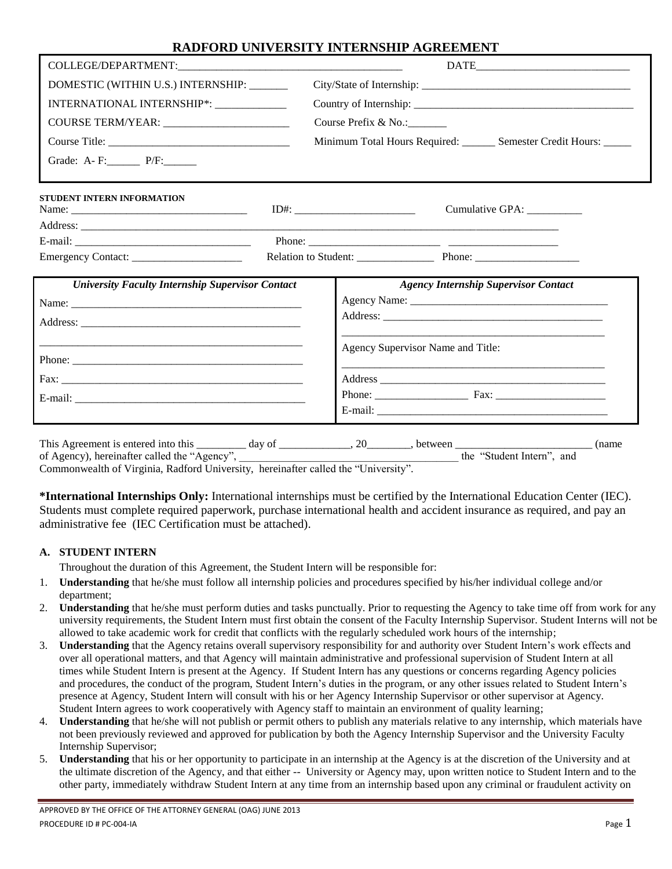| DOMESTIC (WITHIN U.S.) INTERNSHIP: ______               |                                                                                                    |
|---------------------------------------------------------|----------------------------------------------------------------------------------------------------|
| INTERNATIONAL INTERNSHIP*:                              |                                                                                                    |
|                                                         | Course Prefix & No.:                                                                               |
|                                                         | Minimum Total Hours Required: _______ Semester Credit Hours: _____                                 |
| Grade: A-F: P/F:                                        |                                                                                                    |
| <b>STUDENT INTERN INFORMATION</b>                       | Cumulative GPA: _________                                                                          |
|                                                         |                                                                                                    |
|                                                         |                                                                                                    |
|                                                         |                                                                                                    |
| <b>University Faculty Internship Supervisor Contact</b> | <b>Agency Internship Supervisor Contact</b>                                                        |
|                                                         |                                                                                                    |
|                                                         |                                                                                                    |
|                                                         | Agency Supervisor Name and Title:                                                                  |
|                                                         | and the state of the state of the state of the state of the state of the state of the state of the |
|                                                         |                                                                                                    |
|                                                         |                                                                                                    |
|                                                         |                                                                                                    |
|                                                         | (name)                                                                                             |
|                                                         | of Agency), hereinafter called the "Agency", which is a set of the "Student Intern", and           |

Commonwealth of Virginia, Radford University, hereinafter called the "University".

**\*International Internships Only:** International internships must be certified by the International Education Center (IEC). Students must complete required paperwork, purchase international health and accident insurance as required, and pay an administrative fee (IEC Certification must be attached).

### **A. STUDENT INTERN**

Throughout the duration of this Agreement, the Student Intern will be responsible for:

- 1. **Understanding** that he/she must follow all internship policies and procedures specified by his/her individual college and/or department;
- 2. **Understanding** that he/she must perform duties and tasks punctually. Prior to requesting the Agency to take time off from work for any university requirements, the Student Intern must first obtain the consent of the Faculty Internship Supervisor. Student Interns will not be allowed to take academic work for credit that conflicts with the regularly scheduled work hours of the internship;
- 3. **Understanding** that the Agency retains overall supervisory responsibility for and authority over Student Intern's work effects and over all operational matters, and that Agency will maintain administrative and professional supervision of Student Intern at all times while Student Intern is present at the Agency. If Student Intern has any questions or concerns regarding Agency policies and procedures, the conduct of the program, Student Intern's duties in the program, or any other issues related to Student Intern's presence at Agency, Student Intern will consult with his or her Agency Internship Supervisor or other supervisor at Agency. Student Intern agrees to work cooperatively with Agency staff to maintain an environment of quality learning;
- **Understanding** that he/she will not publish or permit others to publish any materials relative to any internship, which materials have not been previously reviewed and approved for publication by both the Agency Internship Supervisor and the University Faculty Internship Supervisor;
- 5. **Understanding** that his or her opportunity to participate in an internship at the Agency is at the discretion of the University and at the ultimate discretion of the Agency, and that either -- University or Agency may, upon written notice to Student Intern and to the other party, immediately withdraw Student Intern at any time from an internship based upon any criminal or fraudulent activity on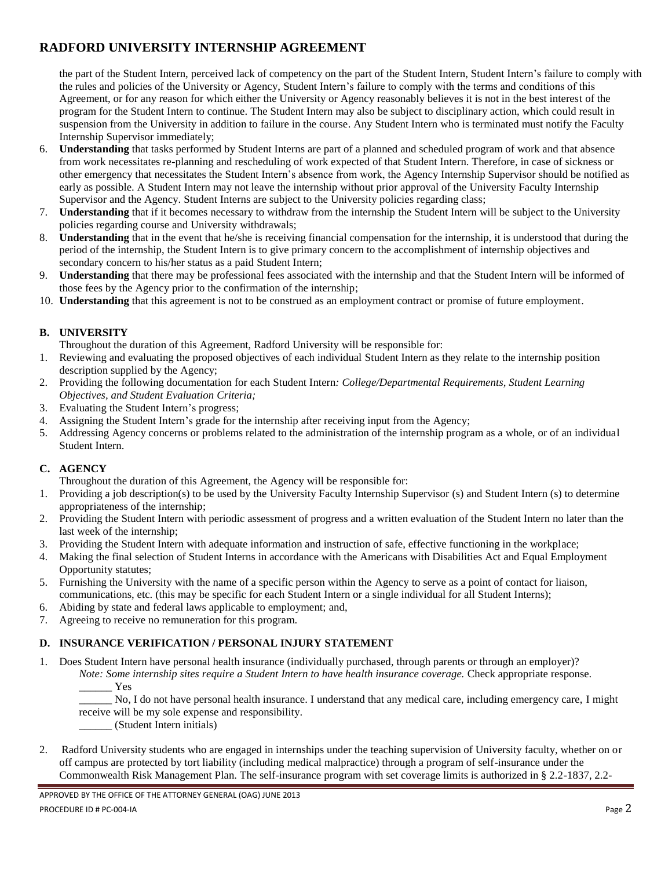the part of the Student Intern, perceived lack of competency on the part of the Student Intern, Student Intern's failure to comply with the rules and policies of the University or Agency, Student Intern's failure to comply with the terms and conditions of this Agreement, or for any reason for which either the University or Agency reasonably believes it is not in the best interest of the program for the Student Intern to continue. The Student Intern may also be subject to disciplinary action, which could result in suspension from the University in addition to failure in the course. Any Student Intern who is terminated must notify the Faculty Internship Supervisor immediately;

- 6. **Understanding** that tasks performed by Student Interns are part of a planned and scheduled program of work and that absence from work necessitates re-planning and rescheduling of work expected of that Student Intern. Therefore, in case of sickness or other emergency that necessitates the Student Intern's absence from work, the Agency Internship Supervisor should be notified as early as possible. A Student Intern may not leave the internship without prior approval of the University Faculty Internship Supervisor and the Agency. Student Interns are subject to the University policies regarding class;
- 7. **Understanding** that if it becomes necessary to withdraw from the internship the Student Intern will be subject to the University policies regarding course and University withdrawals;
- 8. **Understanding** that in the event that he/she is receiving financial compensation for the internship, it is understood that during the period of the internship, the Student Intern is to give primary concern to the accomplishment of internship objectives and secondary concern to his/her status as a paid Student Intern;
- 9. **Understanding** that there may be professional fees associated with the internship and that the Student Intern will be informed of those fees by the Agency prior to the confirmation of the internship;
- 10. **Understanding** that this agreement is not to be construed as an employment contract or promise of future employment.

### **B. UNIVERSITY**

Throughout the duration of this Agreement, Radford University will be responsible for:

- 1. Reviewing and evaluating the proposed objectives of each individual Student Intern as they relate to the internship position description supplied by the Agency;
- 2. Providing the following documentation for each Student Intern*: College/Departmental Requirements, Student Learning Objectives, and Student Evaluation Criteria;*
- 3. Evaluating the Student Intern's progress;
- 4. Assigning the Student Intern's grade for the internship after receiving input from the Agency;
- 5. Addressing Agency concerns or problems related to the administration of the internship program as a whole, or of an individual Student Intern.

### **C. AGENCY**

Throughout the duration of this Agreement, the Agency will be responsible for:

- 1. Providing a job description(s) to be used by the University Faculty Internship Supervisor (s) and Student Intern (s) to determine appropriateness of the internship;
- 2. Providing the Student Intern with periodic assessment of progress and a written evaluation of the Student Intern no later than the last week of the internship;
- 3. Providing the Student Intern with adequate information and instruction of safe, effective functioning in the workplace;
- 4. Making the final selection of Student Interns in accordance with the Americans with Disabilities Act and Equal Employment Opportunity statutes;
- 5. Furnishing the University with the name of a specific person within the Agency to serve as a point of contact for liaison, communications, etc. (this may be specific for each Student Intern or a single individual for all Student Interns);
- 6. Abiding by state and federal laws applicable to employment; and,
- 7. Agreeing to receive no remuneration for this program.

## **D. INSURANCE VERIFICATION / PERSONAL INJURY STATEMENT**

1. Does Student Intern have personal health insurance (individually purchased, through parents or through an employer)?

*Note: Some internship sites require a Student Intern to have health insurance coverage.* Check appropriate response. \_\_\_\_\_\_ Yes

\_\_\_\_\_\_ No, I do not have personal health insurance. I understand that any medical care, including emergency care, I might receive will be my sole expense and responsibility.

\_\_\_\_\_\_ (Student Intern initials)

2. Radford University students who are engaged in internships under the teaching supervision of University faculty, whether on or off campus are protected by tort liability (including medical malpractice) through a program of self-insurance under the Commonwealth Risk Management Plan. The self-insurance program with set coverage limits is authorized in § 2.2-1837, 2.2-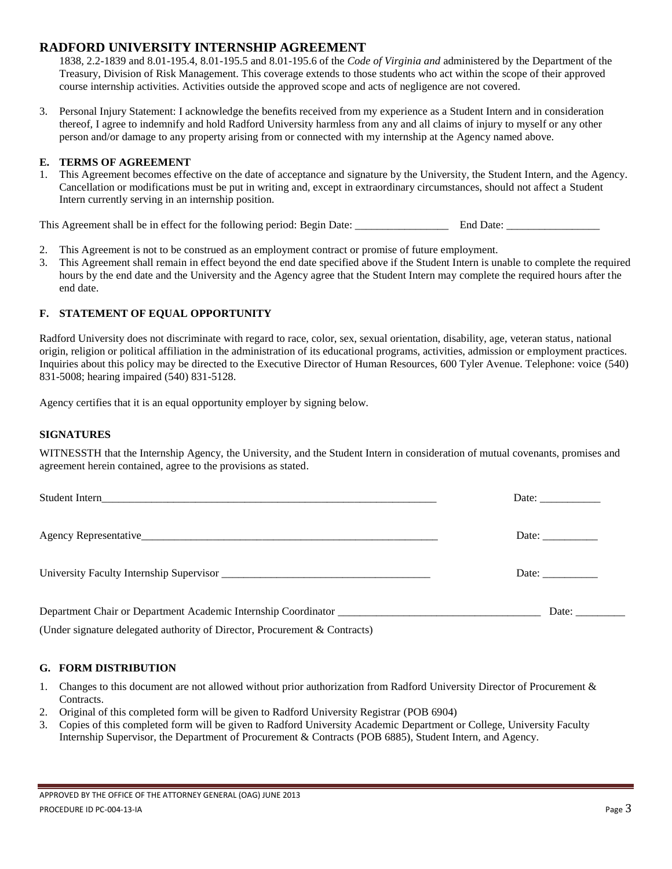1838, 2.2-1839 and 8.01-195.4, 8.01-195.5 and 8.01-195.6 of the *Code of Virginia and* administered by the Department of the Treasury, Division of Risk Management. This coverage extends to those students who act within the scope of their approved course internship activities. Activities outside the approved scope and acts of negligence are not covered.

3. Personal Injury Statement: I acknowledge the benefits received from my experience as a Student Intern and in consideration thereof, I agree to indemnify and hold Radford University harmless from any and all claims of injury to myself or any other person and/or damage to any property arising from or connected with my internship at the Agency named above.

#### **E. TERMS OF AGREEMENT**

1. This Agreement becomes effective on the date of acceptance and signature by the University, the Student Intern, and the Agency. Cancellation or modifications must be put in writing and, except in extraordinary circumstances, should not affect a Student Intern currently serving in an internship position.

This Agreement shall be in effect for the following period: Begin Date: End Date: End Date:

- 2. This Agreement is not to be construed as an employment contract or promise of future employment.
- 3. This Agreement shall remain in effect beyond the end date specified above if the Student Intern is unable to complete the required hours by the end date and the University and the Agency agree that the Student Intern may complete the required hours after the end date.

### **F. STATEMENT OF EQUAL OPPORTUNITY**

Radford University does not discriminate with regard to race, color, sex, sexual orientation, disability, age, veteran status, national origin, religion or political affiliation in the administration of its educational programs, activities, admission or employment practices. Inquiries about this policy may be directed to the Executive Director of Human Resources, 600 Tyler Avenue. Telephone: voice (540) 831-5008; hearing impaired (540) 831-5128.

Agency certifies that it is an equal opportunity employer by signing below.

#### **SIGNATURES**

WITNESSTH that the Internship Agency, the University, and the Student Intern in consideration of mutual covenants, promises and agreement herein contained, agree to the provisions as stated.

| Date: $\frac{1}{\sqrt{1-\frac{1}{2}} \cdot \frac{1}{2}}$ |
|----------------------------------------------------------|
| Date:                                                    |
| Date:                                                    |

(Under signature delegated authority of Director, Procurement & Contracts)

#### **G. FORM DISTRIBUTION**

- 1. Changes to this document are not allowed without prior authorization from Radford University Director of Procurement & Contracts.
- 2. Original of this completed form will be given to Radford University Registrar (POB 6904)
- 3. Copies of this completed form will be given to Radford University Academic Department or College, University Faculty Internship Supervisor, the Department of Procurement & Contracts (POB 6885), Student Intern, and Agency.